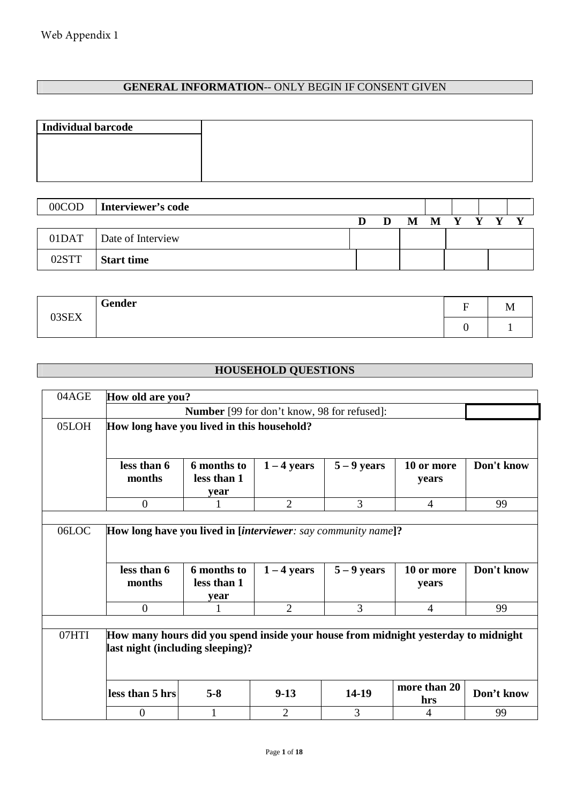## **GENERAL INFORMATION**-- ONLY BEGIN IF CONSENT GIVEN

| $00$ COD           | Interviewer's code |   |   |         |  |  |
|--------------------|--------------------|---|---|---------|--|--|
|                    |                    | n | M | $\bf M$ |  |  |
| 01 <sub>DATA</sub> | Date of Interview  |   |   |         |  |  |
| 02STT              | <b>Start time</b>  |   |   |         |  |  |

| Gender<br>03SEX | ∽<br>- | TAT |
|-----------------|--------|-----|
|                 |        |     |

# **HOUSEHOLD QUESTIONS**

| 04AGE | How old are you?                                                                                                       |                                    |                |               |                     |            |  |  |  |  |
|-------|------------------------------------------------------------------------------------------------------------------------|------------------------------------|----------------|---------------|---------------------|------------|--|--|--|--|
|       |                                                                                                                        |                                    |                |               |                     |            |  |  |  |  |
| 05LOH | How long have you lived in this household?                                                                             |                                    |                |               |                     |            |  |  |  |  |
|       | less than 6<br>months                                                                                                  | 6 months to<br>less than 1<br>year | $1 - 4$ years  | $5 - 9$ years | 10 or more<br>years | Don't know |  |  |  |  |
|       | $\overline{0}$                                                                                                         |                                    | $\overline{2}$ | 3             | $\overline{4}$      | 99         |  |  |  |  |
| 06LOC | How long have you lived in [interviewer: say community name]?<br>less than 6<br>months                                 | 6 months to<br>less than 1<br>year | $1 - 4$ years  | $5 - 9$ years | 10 or more<br>years | Don't know |  |  |  |  |
|       | $\mathbf{0}$                                                                                                           |                                    | $\overline{2}$ | 3             | $\overline{4}$      | 99         |  |  |  |  |
| 07HTI | How many hours did you spend inside your house from midnight yesterday to midnight<br>last night (including sleeping)? |                                    |                |               | more than 20        |            |  |  |  |  |
|       | less than 5 hrs                                                                                                        | $5 - 8$                            | $9-13$         | 14-19         | hrs                 | Don't know |  |  |  |  |
|       |                                                                                                                        |                                    |                |               |                     |            |  |  |  |  |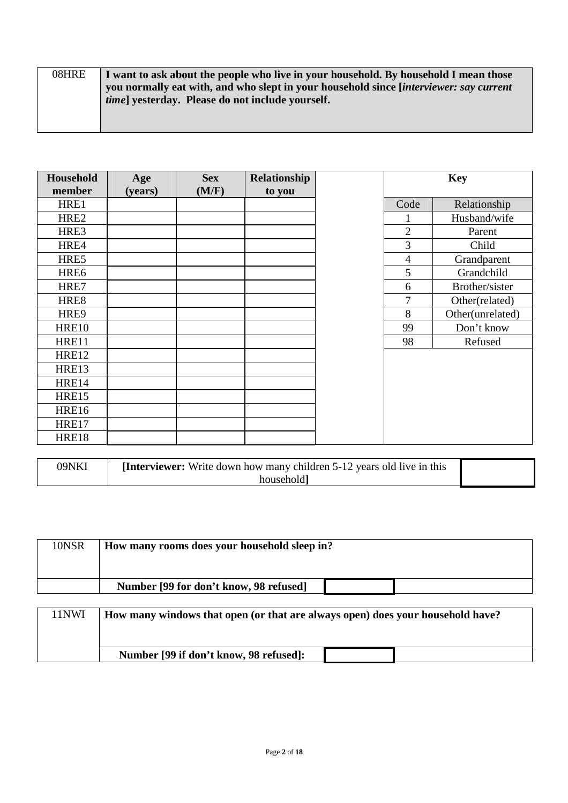| 08HRE | I want to ask about the people who live in your household. By household I mean those         |
|-------|----------------------------------------------------------------------------------------------|
|       | you normally eat with, and who slept in your household since <i>interviewer: say current</i> |
|       | <i>time</i> vesterday. Please do not include yourself.                                       |
|       |                                                                                              |
|       |                                                                                              |

| Household<br>member | Age<br>(years) | <b>Sex</b><br>(M/F) | Relationship<br>to you |                | <b>Key</b>       |
|---------------------|----------------|---------------------|------------------------|----------------|------------------|
| HRE1                |                |                     |                        | Code           | Relationship     |
| HRE <sub>2</sub>    |                |                     |                        |                | Husband/wife     |
| HRE3                |                |                     |                        | $\overline{2}$ | Parent           |
| HRE4                |                |                     |                        | 3              | Child            |
| HRE5                |                |                     |                        | $\overline{4}$ | Grandparent      |
| HRE6                |                |                     |                        | 5              | Grandchild       |
| HRE7                |                |                     |                        | 6              | Brother/sister   |
| HRE8                |                |                     |                        | 7              | Other(related)   |
| HRE9                |                |                     |                        | 8              | Other(unrelated) |
| <b>HRE10</b>        |                |                     |                        | 99             | Don't know       |
| HRE11               |                |                     |                        | 98             | Refused          |
| <b>HRE12</b>        |                |                     |                        |                |                  |
| <b>HRE13</b>        |                |                     |                        |                |                  |
| <b>HRE14</b>        |                |                     |                        |                |                  |
| <b>HRE15</b>        |                |                     |                        |                |                  |
| <b>HRE16</b>        |                |                     |                        |                |                  |
| HRE17               |                |                     |                        |                |                  |
| <b>HRE18</b>        |                |                     |                        |                |                  |

| 09NKI | <b>Interviewer:</b> Write down how many children 5-12 years old live in this |  |
|-------|------------------------------------------------------------------------------|--|
|       | household i                                                                  |  |

| 10NSR | How many rooms does your household sleep in?                                   |
|-------|--------------------------------------------------------------------------------|
|       |                                                                                |
|       | Number [99 for don't know, 98 refused]                                         |
|       |                                                                                |
| 11NWI | How many windows that open (or that are always open) does your household have? |
|       | Number [99 if don't know, 98 refused]:                                         |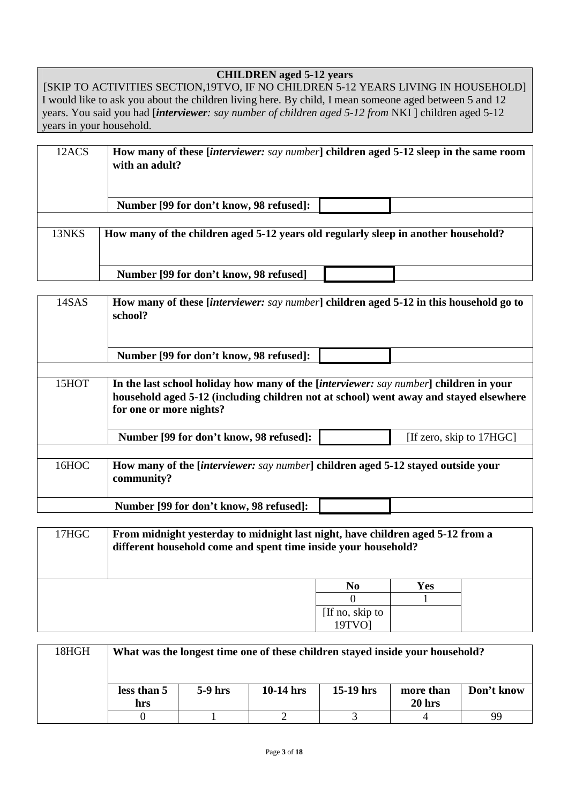## **CHILDREN aged 5-12 years**

[SKIP TO ACTIVITIES SECTION,19TVO, IF NO CHILDREN 5-12 YEARS LIVING IN HOUSEHOLD] I would like to ask you about the children living here. By child, I mean someone aged between 5 and 12 years. You said you had [*interviewer: say number of children aged 5-12 from* NKI ] children aged 5-12 years in your household.

| 12ACS | How many of these <i>[interviewer: say number]</i> children aged 5-12 sleep in the same room<br>with an adult? |  |  |  |  |  |  |
|-------|----------------------------------------------------------------------------------------------------------------|--|--|--|--|--|--|
|       | Number [99 for don't know, 98 refused]:                                                                        |  |  |  |  |  |  |
|       |                                                                                                                |  |  |  |  |  |  |
| 13NKS | How many of the children aged 5-12 years old regularly sleep in another household?                             |  |  |  |  |  |  |
|       |                                                                                                                |  |  |  |  |  |  |
|       |                                                                                                                |  |  |  |  |  |  |
|       | Number [99 for don't know, 98 refused]                                                                         |  |  |  |  |  |  |

| 14SAS | How many of these <i>[interviewer: say number]</i> children aged 5-12 in this household go to<br>school?                                                                                                          |  |  |  |  |  |  |
|-------|-------------------------------------------------------------------------------------------------------------------------------------------------------------------------------------------------------------------|--|--|--|--|--|--|
|       | Number [99 for don't know, 98 refused]:                                                                                                                                                                           |  |  |  |  |  |  |
|       |                                                                                                                                                                                                                   |  |  |  |  |  |  |
| 15HOT | In the last school holiday how many of the <i>[interviewer: say number</i> ] children in your<br>household aged 5-12 (including children not at school) went away and stayed elsewhere<br>for one or more nights? |  |  |  |  |  |  |
|       | [If zero, skip to 17HGC]<br>Number [99 for don't know, 98 refused]:                                                                                                                                               |  |  |  |  |  |  |
|       |                                                                                                                                                                                                                   |  |  |  |  |  |  |
| 16HOC | How many of the <i>[interviewer: say number</i> ] children aged 5-12 stayed outside your<br>community?                                                                                                            |  |  |  |  |  |  |
|       | Number [99 for don't know, 98 refused]:                                                                                                                                                                           |  |  |  |  |  |  |

| 17HGC | From midnight yesterday to midnight last night, have children aged 5-12 from a<br>different household come and spent time inside your household? |                 |            |  |  |  |  |
|-------|--------------------------------------------------------------------------------------------------------------------------------------------------|-----------------|------------|--|--|--|--|
|       |                                                                                                                                                  | N <sub>0</sub>  | <b>Yes</b> |  |  |  |  |
|       |                                                                                                                                                  |                 |            |  |  |  |  |
|       |                                                                                                                                                  | [If no, skip to |            |  |  |  |  |
|       | 19TVO1                                                                                                                                           |                 |            |  |  |  |  |

| 18HGH | What was the longest time one of these children stayed inside your household? |           |             |             |                                |            |  |  |
|-------|-------------------------------------------------------------------------------|-----------|-------------|-------------|--------------------------------|------------|--|--|
|       | less than 5<br>hrs                                                            | $5-9$ hrs | $10-14$ hrs | $15-19$ hrs | more than<br>20 <sub>hrs</sub> | Don't know |  |  |
|       |                                                                               |           |             |             |                                | 99         |  |  |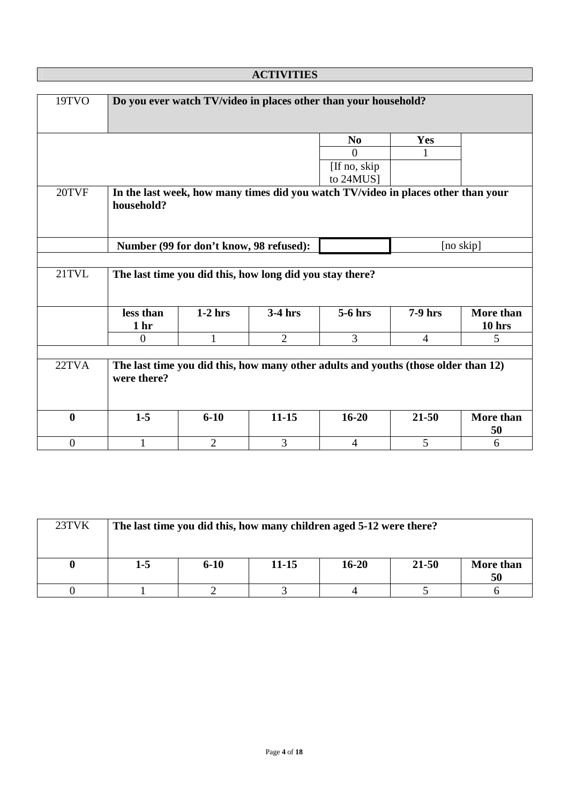| 19TVO            |                              |                                         |                                                          | Do you ever watch TV/video in places other than your household?                    |                |                                |
|------------------|------------------------------|-----------------------------------------|----------------------------------------------------------|------------------------------------------------------------------------------------|----------------|--------------------------------|
|                  |                              |                                         |                                                          | N <sub>0</sub>                                                                     | Yes            |                                |
|                  |                              |                                         |                                                          | $\theta$                                                                           | 1              |                                |
|                  |                              |                                         |                                                          | [If no, skip]                                                                      |                |                                |
|                  |                              |                                         |                                                          | to 24MUS]                                                                          |                |                                |
| 20TVF            | household?                   |                                         |                                                          | In the last week, how many times did you watch TV/video in places other than your  |                |                                |
|                  |                              | Number (99 for don't know, 98 refused): |                                                          |                                                                                    |                | [no skip]                      |
|                  |                              |                                         |                                                          |                                                                                    |                |                                |
| 21TVL            |                              |                                         | The last time you did this, how long did you stay there? |                                                                                    |                |                                |
|                  | less than<br>1 <sub>hr</sub> | $1-2$ hrs                               | $3-4$ hrs                                                | 5-6 hrs                                                                            | 7-9 hrs        | More than<br>10 <sub>hrs</sub> |
|                  | $\theta$                     | $\mathbf{1}$                            | $\overline{2}$                                           | $\overline{3}$                                                                     | $\overline{4}$ | 5                              |
|                  |                              |                                         |                                                          |                                                                                    |                |                                |
| 22TVA            | were there?                  |                                         |                                                          | The last time you did this, how many other adults and youths (those older than 12) |                |                                |
| $\bf{0}$         | $1 - 5$                      | $6 - 10$                                | $11 - 15$                                                | $16 - 20$                                                                          | $21 - 50$      | More than<br>50                |
| $\boldsymbol{0}$ | $\mathbf{1}$                 | $\overline{2}$                          | 3                                                        | $\overline{4}$                                                                     | 5              | 6                              |

| 23TVK |       |          |       | The last time you did this, how many children aged 5-12 were there? |           |                 |
|-------|-------|----------|-------|---------------------------------------------------------------------|-----------|-----------------|
|       | $1-5$ | $6 - 10$ | 11-15 | $16 - 20$                                                           | $21 - 50$ | More than<br>50 |
|       |       |          |       |                                                                     |           |                 |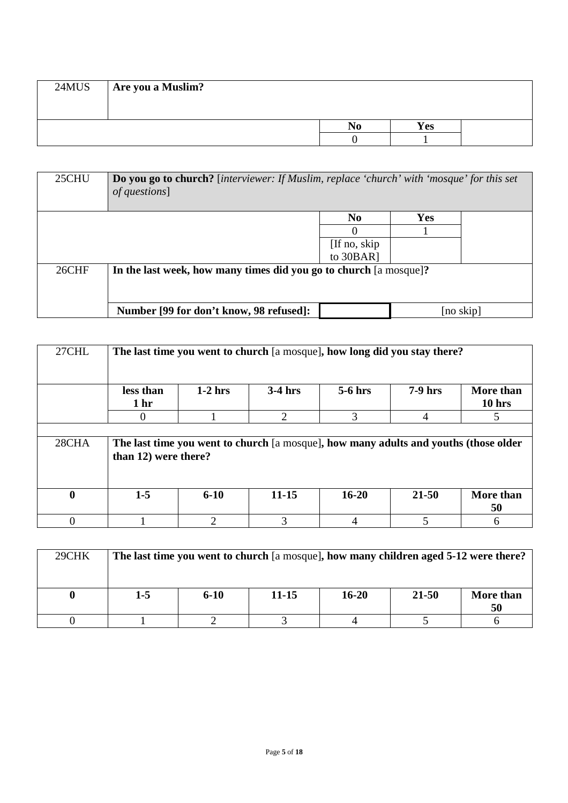| 24MUS | Are you a Muslim? |           |            |  |
|-------|-------------------|-----------|------------|--|
|       |                   | $\bf N_0$ | <b>Yes</b> |  |
|       |                   |           |            |  |

| 25CHU | <b>Do you go to church?</b> [interviewer: If Muslim, replace 'church' with 'mosque' for this set<br><i>of questions</i> ] |                |            |           |
|-------|---------------------------------------------------------------------------------------------------------------------------|----------------|------------|-----------|
|       |                                                                                                                           | N <sub>0</sub> | <b>Yes</b> |           |
|       |                                                                                                                           |                |            |           |
|       |                                                                                                                           | [If no, skip]  |            |           |
|       |                                                                                                                           | to 30BAR]      |            |           |
| 26CHF | In the last week, how many times did you go to church [a mosque]?                                                         |                |            |           |
|       |                                                                                                                           |                |            |           |
|       |                                                                                                                           |                |            |           |
|       | Number [99 for don't know, 98 refused]:                                                                                   |                |            | [no skip] |

| 27CHL        | The last time you went to church [a mosque], how long did you stay there? |           |                                                                                      |                |           |                                |
|--------------|---------------------------------------------------------------------------|-----------|--------------------------------------------------------------------------------------|----------------|-----------|--------------------------------|
|              | less than<br>1 <sub>hr</sub>                                              | $1-2$ hrs | $3-4$ hrs                                                                            | $5-6$ hrs      | $7-9$ hrs | More than<br>10 <sub>hrs</sub> |
|              | 0                                                                         |           | $\overline{2}$                                                                       | 3              | 4         | 5                              |
|              |                                                                           |           |                                                                                      |                |           |                                |
| 28CHA        | than 12) were there?                                                      |           | The last time you went to church [a mosque], how many adults and youths (those older |                |           |                                |
| $\mathbf{0}$ | $1-5$                                                                     | $6 - 10$  | $11 - 15$                                                                            | $16 - 20$      | 21-50     | More than<br>50                |
| 0            |                                                                           | 2         | 3                                                                                    | $\overline{4}$ | 5         | 6                              |

| 29CHK |     | The last time you went to church [a mosque], how many children aged 5-12 were there? |       |           |       |                 |
|-------|-----|--------------------------------------------------------------------------------------|-------|-----------|-------|-----------------|
|       | 1-5 | $6 - 10$                                                                             | 11-15 | $16 - 20$ | 21-50 | More than<br>50 |
|       |     |                                                                                      |       |           |       |                 |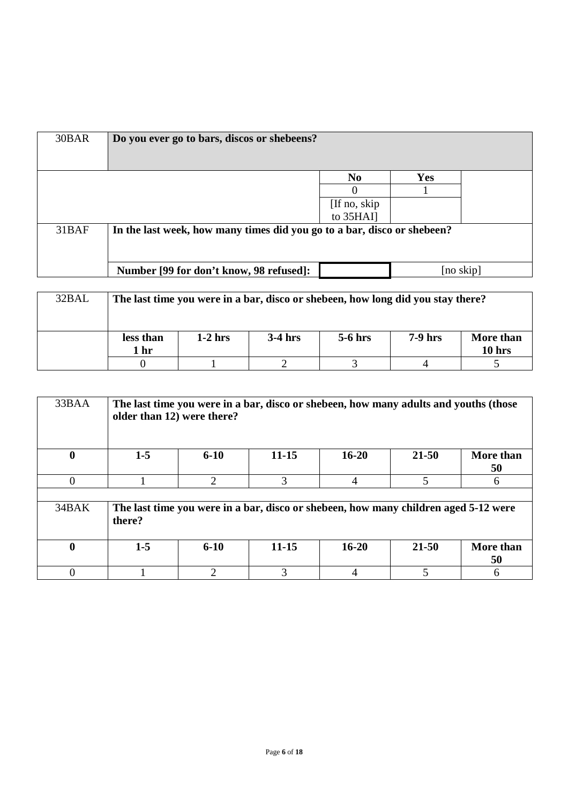| 30BAR | Do you ever go to bars, discos or shebeens?                             |                |            |                |
|-------|-------------------------------------------------------------------------|----------------|------------|----------------|
|       |                                                                         | N <sub>0</sub> | <b>Yes</b> |                |
|       |                                                                         |                |            |                |
|       |                                                                         | [If no, skip]  |            |                |
|       |                                                                         | to 35HAI]      |            |                |
| 31BAF | In the last week, how many times did you go to a bar, disco or shebeen? |                |            |                |
|       | Number [99 for don't know, 98 refused]:                                 |                |            | $[no \, skip]$ |
|       |                                                                         |                |            |                |

| 32BAL |                   | The last time you were in a bar, disco or shebeen, how long did you stay there? |           |           |                |                       |
|-------|-------------------|---------------------------------------------------------------------------------|-----------|-----------|----------------|-----------------------|
|       | less than<br>1 hr | $1-2$ hrs                                                                       | $3-4$ hrs | $5-6$ hrs | <b>7-9 hrs</b> | More than<br>$10$ hrs |
|       |                   |                                                                                 |           |           |                |                       |

| 33BAA        | older than 12) were there? |                             | The last time you were in a bar, disco or shebeen, how many adults and youths (those |           |       |                 |
|--------------|----------------------------|-----------------------------|--------------------------------------------------------------------------------------|-----------|-------|-----------------|
| 0            | $1-5$                      | $6 - 10$                    | $11 - 15$                                                                            | $16 - 20$ | 21-50 | More than<br>50 |
| 0            |                            | $\mathcal{D}_{\mathcal{L}}$ | 3                                                                                    | 4         | 5     | 6               |
|              |                            |                             |                                                                                      |           |       |                 |
| 34BAK        | there?                     |                             | The last time you were in a bar, disco or shebeen, how many children aged 5-12 were  |           |       |                 |
| $\mathbf{0}$ | $1-5$                      | $6 - 10$                    | $11 - 15$                                                                            | $16 - 20$ | 21-50 | More than<br>50 |
|              |                            | $\mathcal{D}_{\mathcal{A}}$ | 3                                                                                    | 4         | 5     |                 |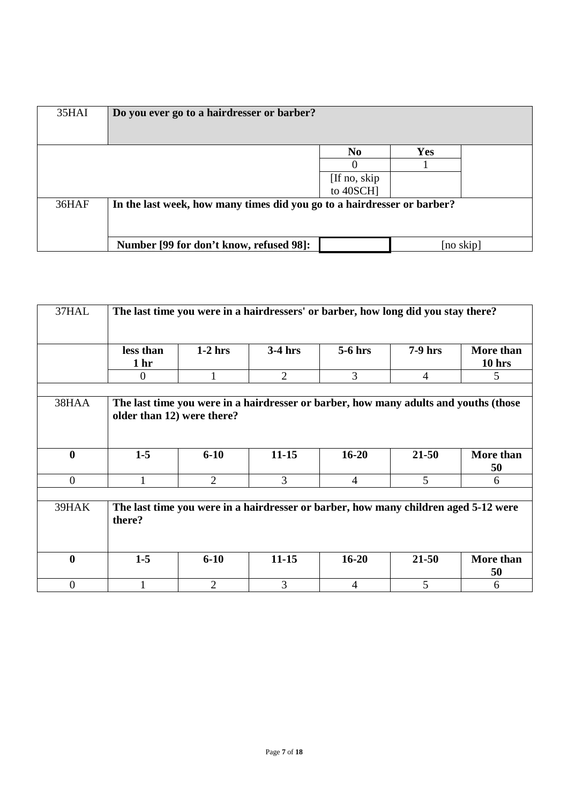| 35HAI | Do you ever go to a hairdresser or barber?                              |                |            |           |
|-------|-------------------------------------------------------------------------|----------------|------------|-----------|
|       |                                                                         | N <sub>0</sub> | <b>Yes</b> |           |
|       |                                                                         | $\theta$       |            |           |
|       |                                                                         | [If no, skip]  |            |           |
|       |                                                                         | to 40SCH]      |            |           |
| 36HAF | In the last week, how many times did you go to a hairdresser or barber? |                |            |           |
|       | Number [99 for don't know, refused 98]:                                 |                |            | [no skip] |

| 37HAL            |                              |                | The last time you were in a hairdressers' or barber, how long did you stay there?    |                |                |                     |
|------------------|------------------------------|----------------|--------------------------------------------------------------------------------------|----------------|----------------|---------------------|
|                  | less than<br>1 <sub>hr</sub> | $1-2$ hrs      | $3-4$ hrs                                                                            | $5-6$ hrs      | $7-9$ hrs      | More than<br>10 hrs |
|                  | $\Omega$                     | 1              | $\overline{2}$                                                                       | 3              | $\overline{4}$ | 5                   |
| 38HAA            | older than 12) were there?   |                | The last time you were in a hairdresser or barber, how many adults and youths (those |                |                |                     |
|                  |                              |                |                                                                                      |                |                |                     |
| $\boldsymbol{0}$ | $1-5$                        | $6-10$         | $11 - 15$                                                                            | $16 - 20$      | $21 - 50$      | More than<br>50     |
| $\Omega$         |                              | $\overline{2}$ | 3                                                                                    | $\overline{4}$ | 5              | 6                   |
| 39HAK            | there?                       |                | The last time you were in a hairdresser or barber, how many children aged 5-12 were  |                |                |                     |
| $\boldsymbol{0}$ | $1-5$                        | $6-10$         | $11 - 15$                                                                            | $16 - 20$      | $21 - 50$      | More than<br>50     |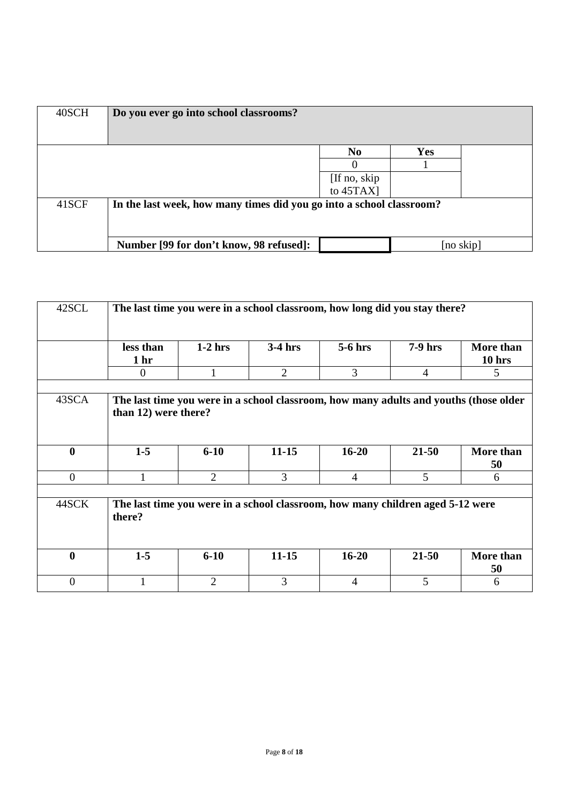| 40SCH | Do you ever go into school classrooms?                               |                           |            |           |
|-------|----------------------------------------------------------------------|---------------------------|------------|-----------|
|       |                                                                      | N <sub>0</sub>            | <b>Yes</b> |           |
|       |                                                                      | $\theta$                  |            |           |
|       |                                                                      |                           |            |           |
|       |                                                                      | [If no, skip<br>to 45TAX] |            |           |
| 41SCF | In the last week, how many times did you go into a school classroom? |                           |            |           |
|       |                                                                      |                           |            |           |
|       | Number [99 for don't know, 98 refused]:                              |                           |            | [no skip] |

| 42SCL            | The last time you were in a school classroom, how long did you stay there?                                    |                |                |                |                |                     |  |  |  |
|------------------|---------------------------------------------------------------------------------------------------------------|----------------|----------------|----------------|----------------|---------------------|--|--|--|
|                  | less than<br>1 <sub>hr</sub>                                                                                  | $1-2$ hrs      | $3-4$ hrs      | $5-6$ hrs      | $7-9$ hrs      | More than<br>10 hrs |  |  |  |
|                  | $\Omega$                                                                                                      |                | $\overline{2}$ | 3              | $\overline{4}$ | 5.                  |  |  |  |
| 43SCA            | The last time you were in a school classroom, how many adults and youths (those older<br>than 12) were there? |                |                |                |                |                     |  |  |  |
| $\boldsymbol{0}$ | $1-5$                                                                                                         | $6-10$         | $11 - 15$      | $16 - 20$      | $21 - 50$      | More than<br>50     |  |  |  |
| $\overline{0}$   |                                                                                                               | $\overline{2}$ | 3              | $\overline{4}$ | 5              | 6                   |  |  |  |
| 44SCK            | The last time you were in a school classroom, how many children aged 5-12 were<br>there?                      |                |                |                |                |                     |  |  |  |
| $\boldsymbol{0}$ | $1-5$                                                                                                         | $6-10$         | $11 - 15$      | $16 - 20$      | $21 - 50$      | More than<br>50     |  |  |  |
| $\theta$         |                                                                                                               | $\overline{2}$ | 3              | $\overline{4}$ | 5              | 6                   |  |  |  |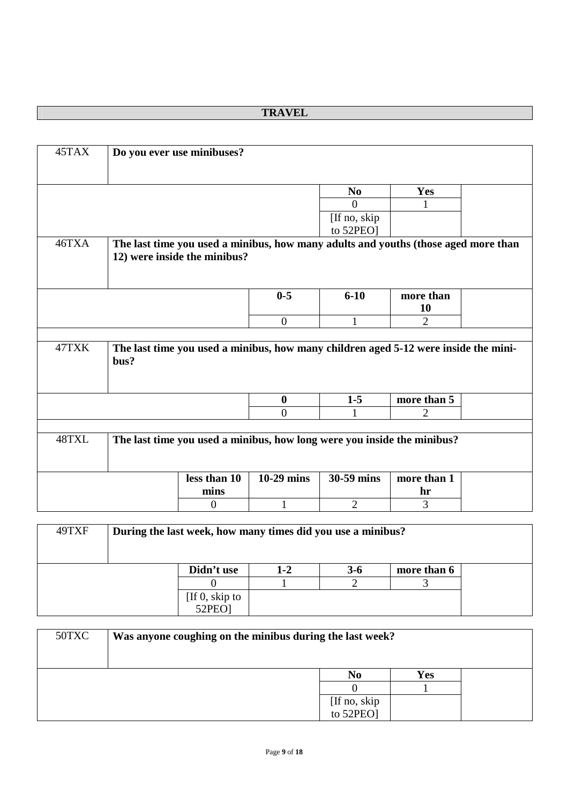# **TRAVEL**

| 45TAX |      | Do you ever use minibuses?                                                          |                  |                |                |  |
|-------|------|-------------------------------------------------------------------------------------|------------------|----------------|----------------|--|
|       |      |                                                                                     |                  |                |                |  |
|       |      |                                                                                     |                  |                |                |  |
|       |      |                                                                                     |                  | N <sub>0</sub> | <b>Yes</b>     |  |
|       |      |                                                                                     |                  | $\Omega$       |                |  |
|       |      |                                                                                     |                  | [If no, skip   |                |  |
|       |      |                                                                                     |                  | to 52PEO]      |                |  |
| 46TXA |      | The last time you used a minibus, how many adults and youths (those aged more than  |                  |                |                |  |
|       |      | 12) were inside the minibus?                                                        |                  |                |                |  |
|       |      |                                                                                     |                  |                |                |  |
|       |      |                                                                                     |                  |                |                |  |
|       |      |                                                                                     | $0 - 5$          | $6 - 10$       | more than      |  |
|       |      |                                                                                     |                  |                | 10             |  |
|       |      |                                                                                     | $\overline{0}$   | 1              | $\overline{2}$ |  |
|       |      |                                                                                     |                  |                |                |  |
| 47TXK |      | The last time you used a minibus, how many children aged 5-12 were inside the mini- |                  |                |                |  |
|       | bus? |                                                                                     |                  |                |                |  |
|       |      |                                                                                     |                  |                |                |  |
|       |      |                                                                                     |                  |                |                |  |
|       |      |                                                                                     | $\boldsymbol{0}$ | $1 - 5$        | more than 5    |  |
|       |      |                                                                                     | $\theta$         | 1              | 2              |  |
|       |      |                                                                                     |                  |                |                |  |
|       |      |                                                                                     |                  |                |                |  |
| 48TXL |      | The last time you used a minibus, how long were you inside the minibus?             |                  |                |                |  |
|       |      |                                                                                     |                  |                |                |  |
|       |      |                                                                                     |                  |                |                |  |
|       |      | less than 10                                                                        | $10-29$ mins     | 30-59 mins     | more than 1    |  |
|       |      | mins                                                                                |                  |                | hr             |  |
|       |      | $\boldsymbol{0}$                                                                    | 1                | $\overline{2}$ | 3              |  |

| 49TXF | During the last week, how many times did you use a minibus? |                   |         |         |             |  |  |  |  |
|-------|-------------------------------------------------------------|-------------------|---------|---------|-------------|--|--|--|--|
|       |                                                             | Didn't use        | $1 - 2$ | $3 - 6$ | more than 6 |  |  |  |  |
|       |                                                             |                   |         |         |             |  |  |  |  |
|       |                                                             | [If $0$ , skip to |         |         |             |  |  |  |  |
|       |                                                             | <b>52PEO]</b>     |         |         |             |  |  |  |  |

| 50TXC | Was anyone coughing on the minibus during the last week? |                           |     |  |  |  |  |
|-------|----------------------------------------------------------|---------------------------|-----|--|--|--|--|
|       |                                                          | N <sub>0</sub>            | Yes |  |  |  |  |
|       |                                                          |                           |     |  |  |  |  |
|       |                                                          | [If no, skip<br>to 52PEO] |     |  |  |  |  |
|       |                                                          |                           |     |  |  |  |  |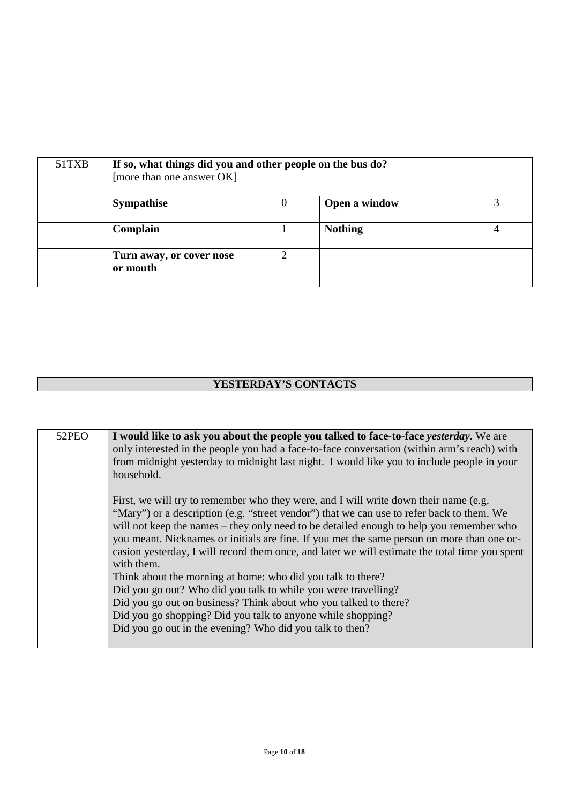| 51TXB | If so, what things did you and other people on the bus do?<br>[more than one answer OK] |   |                |  |
|-------|-----------------------------------------------------------------------------------------|---|----------------|--|
|       | <b>Sympathise</b>                                                                       | 0 | Open a window  |  |
|       | Complain                                                                                |   | <b>Nothing</b> |  |
|       | Turn away, or cover nose<br>or mouth                                                    |   |                |  |

# **YESTERDAY'S CONTACTS**

| 52PEO | I would like to ask you about the people you talked to face-to-face <i>yesterday</i> . We are            |
|-------|----------------------------------------------------------------------------------------------------------|
|       | only interested in the people you had a face-to-face conversation (within arm's reach) with              |
|       | from midnight yesterday to midnight last night. I would like you to include people in your<br>household. |
|       |                                                                                                          |
|       | First, we will try to remember who they were, and I will write down their name (e.g.                     |
|       | "Mary") or a description (e.g. "street vendor") that we can use to refer back to them. We                |
|       | will not keep the names – they only need to be detailed enough to help you remember who                  |
|       | you meant. Nicknames or initials are fine. If you met the same person on more than one oc-               |
|       | casion yesterday, I will record them once, and later we will estimate the total time you spent           |
|       | with them.                                                                                               |
|       | Think about the morning at home: who did you talk to there?                                              |
|       | Did you go out? Who did you talk to while you were travelling?                                           |
|       | Did you go out on business? Think about who you talked to there?                                         |
|       | Did you go shopping? Did you talk to anyone while shopping?                                              |
|       | Did you go out in the evening? Who did you talk to then?                                                 |
|       |                                                                                                          |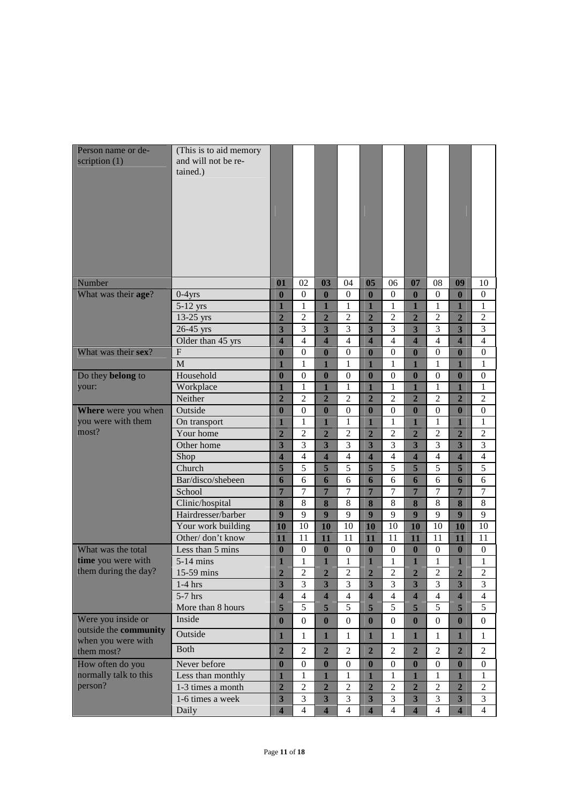| Person name or de-<br>scription $(1)$       | (This is to aid memory<br>and will not be re-<br>tained.) |                          |                     |                          |                                |                                |                                |                                |                     |                                           |                                |
|---------------------------------------------|-----------------------------------------------------------|--------------------------|---------------------|--------------------------|--------------------------------|--------------------------------|--------------------------------|--------------------------------|---------------------|-------------------------------------------|--------------------------------|
| Number                                      |                                                           | 01                       | 02                  | 03                       | 04                             | 05                             | 06                             | 07                             | 08                  | 09                                        | 10                             |
| What was their age?                         | $0-4$ yrs                                                 | $\mathbf{0}$             | $\mathbf{0}$        | $\mathbf{0}$             | $\overline{0}$                 | $\mathbf{0}$                   | $\boldsymbol{0}$               | $\boldsymbol{0}$               | $\overline{0}$      | $\bf{0}$                                  | $\theta$                       |
|                                             | 5-12 yrs                                                  | $\mathbf{1}$             | 1                   | $\mathbf{1}$             | $\mathbf{1}$                   | $\mathbf{1}$                   | $\mathbf{1}$                   | $\mathbf{1}$                   | $\mathbf{1}$        | $\mathbf{1}$                              | $\mathbf{1}$                   |
|                                             | $13-25$ yrs                                               | $\overline{2}$           | $\overline{c}$      | $\overline{2}$           | $\overline{2}$                 | $\overline{2}$                 | $\overline{2}$                 | $\overline{2}$                 | $\overline{2}$      | $\overline{2}$                            | $\overline{c}$                 |
|                                             | 26-45 yrs                                                 | $\overline{\mathbf{3}}$  | $\overline{3}$      | $\overline{\mathbf{3}}$  | 3                              | $\overline{\mathbf{3}}$        | 3                              | $\overline{\mathbf{3}}$        | 3                   | $\overline{\mathbf{3}}$                   | 3                              |
|                                             | Older than 45 yrs                                         | $\overline{\mathbf{4}}$  | $\overline{4}$      | $\overline{\mathbf{4}}$  | $\overline{4}$                 | $\overline{\mathbf{4}}$        | $\overline{4}$                 | $\overline{\mathbf{4}}$        | $\overline{4}$      | $\overline{\mathbf{4}}$                   | $\overline{4}$                 |
| What was their sex?                         | $\overline{F}$                                            | $\bf{0}$                 | $\overline{0}$      | $\bf{0}$                 | $\overline{0}$                 | $\bf{0}$                       | $\overline{0}$                 | $\mathbf{0}$                   | $\overline{0}$      | $\bf{0}$                                  | $\overline{0}$                 |
|                                             | M                                                         | 1                        | 1                   | 1                        | 1                              | 1                              | 1                              | 1                              | 1                   | 1                                         | 1                              |
| Do they belong to                           | Household                                                 | $\bf{0}$                 | $\overline{0}$      | $\bf{0}$                 | $\boldsymbol{0}$               | $\mathbf{0}$                   | $\overline{0}$                 | $\bf{0}$                       | $\overline{0}$      | $\bf{0}$                                  | 0                              |
| your:                                       | Workplace                                                 | $\mathbf{1}$             | 1                   | 1                        | 1                              | $\mathbf{1}$                   | $\mathbf{1}$                   | $\mathbf{1}$                   | $\mathbf{1}$        | 1                                         | $\mathbf{1}$                   |
|                                             | Neither                                                   | $\overline{2}$           | $\overline{c}$      | $\overline{2}$           | 2                              | $\overline{2}$                 | $\overline{c}$                 | $\overline{2}$                 | $\overline{2}$      | $\overline{2}$                            | 2                              |
| Where were you when<br>you were with them   | Outside                                                   | $\bf{0}$<br>$\mathbf{1}$ | $\overline{0}$<br>1 | $\bf{0}$<br>$\mathbf{1}$ | $\overline{0}$                 | $\bf{0}$                       | $\overline{0}$                 | $\bf{0}$                       | $\overline{0}$      | $\bf{0}$                                  | $\overline{0}$                 |
| most?                                       | On transport<br>Your home                                 | $\overline{2}$           | $\overline{c}$      | $\overline{2}$           | $\mathbf{1}$<br>$\overline{2}$ | $\mathbf{1}$<br>$\overline{2}$ | $\mathbf{1}$<br>$\overline{2}$ | $\mathbf{1}$<br>$\overline{2}$ | 1<br>$\overline{2}$ | $\mathbf{1}$                              | $\mathbf{1}$<br>$\overline{c}$ |
|                                             | Other home                                                | 3                        | 3                   | $\overline{\mathbf{3}}$  | 3                              | 3                              | 3                              | 3                              | 3                   | $\overline{2}$<br>$\overline{\mathbf{3}}$ | 3                              |
|                                             | Shop                                                      | $\overline{\mathbf{4}}$  | 4                   | $\overline{\mathbf{4}}$  | $\overline{4}$                 | $\overline{\mathbf{4}}$        | $\overline{4}$                 | $\overline{\mathbf{4}}$        | $\overline{4}$      | $\overline{\mathbf{4}}$                   | $\overline{4}$                 |
|                                             | Church                                                    | 5                        | 5                   | 5                        | 5                              | 5                              | 5                              | 5                              | 5                   | 5                                         | $\overline{5}$                 |
|                                             | Bar/disco/shebeen                                         | 6                        | 6                   | 6                        | 6                              | 6                              | 6                              | 6                              | 6                   | 6                                         | 6                              |
|                                             | School                                                    | $\overline{7}$           | 7                   | $\overline{7}$           | 7                              | $\overline{7}$                 | 7                              | $\overline{7}$                 | $\overline{7}$      | $\overline{7}$                            | 7                              |
|                                             | Clinic/hospital                                           | 8                        | 8                   | 8                        | 8                              | 8                              | 8                              | 8                              | 8                   | 8                                         | 8                              |
|                                             | Hairdresser/barber                                        | $\overline{9}$           | 9                   | 9                        | $\overline{9}$                 | $\overline{9}$                 | $\overline{9}$                 | $\overline{9}$                 | $\overline{9}$      | $\boldsymbol{9}$                          | 9                              |
|                                             | Your work building                                        | 10                       | 10                  | 10                       | 10                             | 10                             | 10                             | 10                             | 10                  | 10                                        | 10                             |
|                                             | Other/don't know                                          | 11                       | 11                  | 11                       | 11                             | 11                             | 11                             | 11                             | 11                  | 11                                        | 11                             |
| What was the total                          | Less than 5 mins                                          | $\bf{0}$                 | $\overline{0}$      | $\bf{0}$                 | $\boldsymbol{0}$               | $\bf{0}$                       | $\boldsymbol{0}$               | $\boldsymbol{0}$               | $\boldsymbol{0}$    | $\bf{0}$                                  | $\boldsymbol{0}$               |
| time you were with                          | $5-14$ mins                                               | 1                        | $\mathbf{1}$        | $\mathbf{1}$             | $\mathbf{1}$                   | $\mathbf{1}$                   | $\mathbf{1}$                   | $\mathbf{1}$                   | $\mathbf{1}$        | $\mathbf{1}$                              | $\mathbf{1}$                   |
| them during the day?                        | 15-59 mins                                                | $\mathbf{2}$             | $\overline{c}$      | $\overline{2}$           | $\mathbf{2}$                   | $\overline{2}$                 | $\mathfrak{2}$                 | $\overline{2}$                 | $\overline{2}$      | $\overline{2}$                            | $\overline{2}$                 |
|                                             | $1-4$ hrs                                                 | $\overline{\mathbf{3}}$  | 3                   | $\overline{\mathbf{3}}$  | 3                              | $\overline{\mathbf{3}}$        | 3                              | $\overline{\mathbf{3}}$        | $\overline{3}$      | $\overline{\mathbf{3}}$                   | 3                              |
|                                             | 5-7 hrs                                                   | $\overline{\mathbf{4}}$  | $\overline{4}$      | $\overline{\mathbf{4}}$  | $\overline{4}$                 | $\overline{\mathbf{4}}$        | $\overline{4}$                 | $\overline{\mathbf{4}}$        | $\overline{4}$      | $\overline{\mathbf{4}}$                   | $\overline{4}$                 |
|                                             | More than 8 hours                                         | 5                        | 5                   | 5                        | $\overline{5}$                 | 5                              | $\overline{5}$                 | 5                              | $\overline{5}$      | 5                                         | 5                              |
| Were you inside or                          | Inside                                                    | $\bf{0}$                 | $\mathbf{0}$        | $\bf{0}$                 | $\boldsymbol{0}$               | $\boldsymbol{0}$               | $\boldsymbol{0}$               | $\boldsymbol{0}$               | $\boldsymbol{0}$    | $\bf{0}$                                  | $\boldsymbol{0}$               |
| outside the community<br>when you were with | Outside                                                   | $\mathbf{1}$             | $\mathbf{1}$        | $\mathbf{1}$             | $\mathbf{1}$                   | $\mathbf{1}$                   | $\mathbf{1}$                   | $\mathbf{1}$                   | $\mathbf{1}$        | $\mathbf{1}$                              | $\mathbf{1}$                   |
| them most?                                  | <b>Both</b>                                               | $\overline{2}$           | $\overline{c}$      | $\overline{2}$           | $\overline{2}$                 | $\overline{2}$                 | $\overline{c}$                 | $\overline{2}$                 | $\mathfrak{2}$      | $\overline{2}$                            | $\overline{2}$                 |
| How often do you                            | Never before                                              | $\bf{0}$                 | $\boldsymbol{0}$    | $\bf{0}$                 | $\mathbf{0}$                   | $\boldsymbol{0}$               | $\mathbf{0}$                   | $\bf{0}$                       | $\boldsymbol{0}$    | $\boldsymbol{0}$                          | $\overline{0}$                 |
| normally talk to this                       | Less than monthly                                         | $\mathbf{1}$             | 1                   | $\mathbf{1}$             | 1                              | $\mathbf{1}$                   | $\mathbf{1}$                   | $\mathbf{1}$                   | $\mathbf 1$         | $\mathbf{1}$                              | 1                              |
| person?                                     | 1-3 times a month                                         | $\overline{2}$           | $\overline{c}$      | $\overline{2}$           | $\overline{c}$                 | $\overline{2}$                 | $\overline{2}$                 | $\overline{2}$                 | $\overline{2}$      | $\overline{2}$                            | $\mathfrak{2}$                 |
|                                             | 1-6 times a week                                          | $\overline{\mathbf{3}}$  | 3                   | $\overline{\mathbf{3}}$  | 3                              | $\overline{\mathbf{3}}$        | 3                              | $\overline{\mathbf{3}}$        | 3                   | $\overline{\mathbf{3}}$                   | $\mathfrak{Z}$                 |
|                                             | Daily                                                     | $\overline{\mathbf{4}}$  | $\overline{4}$      | $\overline{\mathbf{4}}$  | $\overline{4}$                 | $\overline{\mathbf{4}}$        | $\overline{4}$                 | $\overline{\mathbf{4}}$        | $\overline{4}$      | $\overline{\mathbf{4}}$                   | $\overline{4}$                 |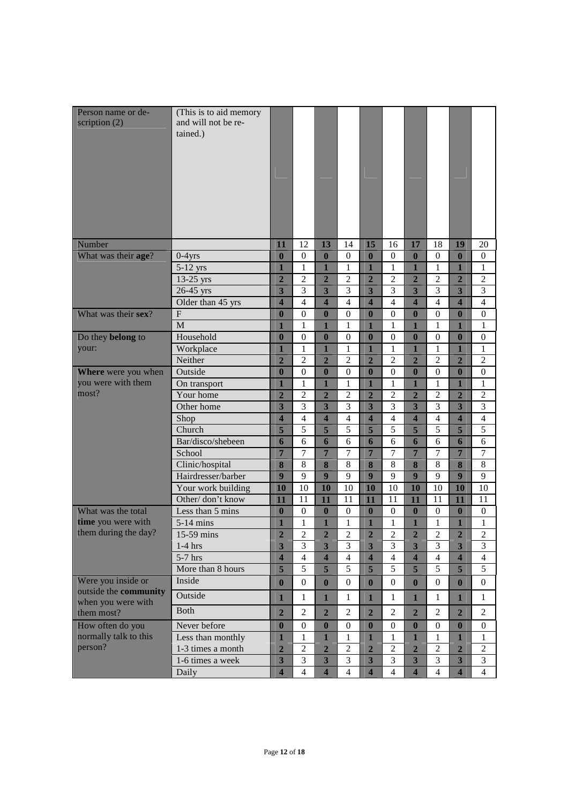| Person name or de-<br>scription $(2)$       | (This is to aid memory<br>and will not be re-<br>tained.) |                         |                     |                         |                                |                         |                     |                                |                       |                         |                     |
|---------------------------------------------|-----------------------------------------------------------|-------------------------|---------------------|-------------------------|--------------------------------|-------------------------|---------------------|--------------------------------|-----------------------|-------------------------|---------------------|
| Number                                      |                                                           | 11                      | 12                  | 13                      | 14                             | 15                      | 16                  | 17                             | 18                    | 19                      | 20                  |
| What was their age?                         | $0-4$ yrs                                                 | $\bf{0}$                | $\boldsymbol{0}$    | $\bf{0}$                | $\boldsymbol{0}$               | $\boldsymbol{0}$        | $\boldsymbol{0}$    | $\bf{0}$                       | $\mathbf{0}$          | $\mathbf{0}$            | $\mathbf{0}$        |
|                                             | 5-12 yrs                                                  | $\mathbf{1}$            | $\mathbf{1}$        | $\overline{1}$          | $\mathbf{1}$                   | $\overline{\mathbf{1}}$ | $\mathbf{1}$        | $\mathbf{1}$                   | $\mathbf{1}$          | $\overline{\mathbf{1}}$ | $\mathbf{1}$        |
|                                             | 13-25 yrs                                                 | $\overline{2}$          | $\overline{c}$      | $\overline{2}$          | $\overline{2}$                 | $\overline{2}$          | $\overline{c}$      | $\overline{2}$                 | $\overline{2}$        | $\overline{2}$          | $\overline{c}$      |
|                                             | 26-45 yrs                                                 | $\overline{\mathbf{3}}$ | 3                   | $\overline{\mathbf{3}}$ | 3                              | $\overline{\mathbf{3}}$ | 3                   | $\overline{\mathbf{3}}$        | 3                     | $\overline{\mathbf{3}}$ | $\overline{3}$      |
|                                             | Older than 45 yrs                                         | $\overline{\mathbf{4}}$ | $\overline{4}$      | $\overline{\mathbf{4}}$ | $\overline{4}$                 | $\overline{\mathbf{4}}$ | $\overline{4}$      | $\overline{\mathbf{4}}$        | $\overline{4}$        | $\overline{\mathbf{4}}$ | $\overline{4}$      |
| What was their sex?                         | ${\bf F}$                                                 | $\bf{0}$                | $\boldsymbol{0}$    | $\bf{0}$                | $\boldsymbol{0}$               | $\bf{0}$                | $\boldsymbol{0}$    | $\bf{0}$                       | $\boldsymbol{0}$      | $\mathbf{0}$            | $\boldsymbol{0}$    |
|                                             | M                                                         | $\mathbf{1}$            | $\mathbf{1}$        | $\mathbf{1}$            | $\mathbf{1}$                   | $\mathbf{1}$            | $\mathbf{1}$        | $\mathbf{1}$                   | $\mathbf{1}$          | $\mathbf{1}$            | $\mathbf{1}$        |
| Do they belong to                           | Household                                                 | $\bf{0}$                | $\boldsymbol{0}$    | $\bf{0}$                | $\boldsymbol{0}$               | $\boldsymbol{0}$        | $\overline{0}$      | $\bf{0}$                       | $\boldsymbol{0}$      | $\mathbf{0}$            | $\boldsymbol{0}$    |
| your:                                       | Workplace                                                 | 1                       | 1                   | $\mathbf{1}$            | $\mathbf{1}$<br>$\overline{2}$ | $\mathbf{1}$            | $\mathbf{1}$        | $\mathbf{1}$                   | $\mathbf{1}$          | $\mathbf{1}$            | $\mathbf{1}$        |
|                                             | Neither<br>Outside                                        | $\overline{2}$          | $\overline{c}$      | $\overline{2}$          |                                | $\overline{2}$          | $\overline{c}$      | $\overline{2}$                 | $\overline{c}$        | $\overline{2}$          | $\overline{c}$      |
| Where were you when<br>you were with them   |                                                           | $\bf{0}$<br>1           | $\overline{0}$<br>1 | $\bf{0}$<br>1           | $\boldsymbol{0}$               | $\boldsymbol{0}$<br>1   | $\boldsymbol{0}$    | $\bf{0}$                       | $\boldsymbol{0}$<br>1 | $\bf{0}$<br>1           | $\overline{0}$      |
| most?                                       | On transport<br>Your home                                 | $\overline{2}$          | $\overline{2}$      | $\overline{2}$          | 1<br>$\overline{2}$            | $\overline{2}$          | 1<br>$\overline{c}$ | $\mathbf{1}$<br>$\overline{2}$ | $\overline{c}$        | $\overline{2}$          | 1<br>$\overline{2}$ |
|                                             | Other home                                                | 3                       | 3                   | 3                       | 3                              | 3                       | 3                   | 3                              | 3                     | 3                       | 3                   |
|                                             | Shop                                                      | 4                       | $\overline{4}$      | $\overline{\mathbf{4}}$ | $\overline{4}$                 | $\overline{\mathbf{4}}$ | $\overline{4}$      | $\overline{\mathbf{4}}$        | $\overline{4}$        | $\overline{\mathbf{4}}$ | $\overline{4}$      |
|                                             | Church                                                    | 5                       | 5                   | 5                       | 5                              | 5                       | 5                   | 5                              | 5                     | 5                       | 5                   |
|                                             | Bar/disco/shebeen                                         | 6                       | 6                   | 6                       | 6                              | 6                       | 6                   | 6                              | 6                     | 6                       | 6                   |
|                                             | School                                                    | $\overline{7}$          | 7                   | $\overline{7}$          | 7                              | $\overline{7}$          | 7                   | $\overline{7}$                 | 7                     | $\overline{7}$          | 7                   |
|                                             | Clinic/hospital                                           | 8                       | 8                   | 8                       | 8                              | 8                       | 8                   | 8                              | 8                     | 8                       | $\,8\,$             |
|                                             | Hairdresser/barber                                        | 9                       | 9                   | 9                       | 9                              | 9                       | 9                   | 9                              | 9                     | 9                       | 9                   |
|                                             | Your work building                                        | 10                      | 10                  | 10                      | 10                             | 10                      | 10                  | 10                             | 10                    | 10                      | 10                  |
|                                             | Other/don't know                                          | 11                      | 11                  | 11                      | 11                             | 11                      | 11                  | 11                             | 11                    | 11                      | 11                  |
| What was the total                          | Less than 5 mins                                          | $\bf{0}$                | $\boldsymbol{0}$    | $\bf{0}$                | $\boldsymbol{0}$               | $\boldsymbol{0}$        | $\boldsymbol{0}$    | $\bf{0}$                       | $\boldsymbol{0}$      | $\bf{0}$                | $\boldsymbol{0}$    |
| time you were with                          | $5-14$ mins                                               | $\mathbf{1}$            | $\mathbf{1}$        | $\mathbf{1}$            | $\mathbf{1}$                   | $\mathbf{1}$            | $\mathbf{1}$        | 1                              | $\mathbf{1}$          | $\mathbf{1}$            | $\mathbf{1}$        |
| them during the day?                        | 15-59 mins                                                | $\mathbf{2}$            | $\sqrt{2}$          | $\mathbf{2}$            | $\sqrt{2}$                     | $\overline{2}$          | $\overline{c}$      | $\overline{\mathbf{2}}$        | $\mathfrak{2}$        | $\overline{2}$          | $\boldsymbol{2}$    |
|                                             | $1-4$ hrs                                                 | 3                       | 3                   | $\overline{\mathbf{3}}$ | $\mathfrak{Z}$                 | $\overline{\mathbf{3}}$ | 3                   | $\overline{\mathbf{3}}$        | 3                     | $\overline{\mathbf{3}}$ | 3                   |
|                                             | $5-7$ hrs                                                 | $\overline{\mathbf{4}}$ | $\overline{4}$      | $\overline{\mathbf{4}}$ | $\overline{4}$                 | $\overline{\mathbf{4}}$ | $\overline{4}$      | $\overline{\mathbf{4}}$        | $\overline{4}$        | $\overline{\mathbf{4}}$ | $\overline{4}$      |
|                                             | More than 8 hours                                         | 5                       | $\overline{5}$      | $5\overline{)}$         | 5                              | 5                       | 5                   | 5                              | 5                     | $\overline{5}$          | 5                   |
| Were you inside or                          | Inside                                                    | $\bf{0}$                | $\boldsymbol{0}$    | $\bf{0}$                | $\mathbf{0}$                   | $\bf{0}$                | $\boldsymbol{0}$    | $\bf{0}$                       | $\mathbf{0}$          | $\boldsymbol{0}$        | $\mathbf{0}$        |
| outside the community<br>when you were with | Outside                                                   | $\mathbf{1}$            | $\mathbf{1}$        | $\mathbf{1}$            | $\mathbf{1}$                   | $\mathbf{1}$            | $\mathbf{1}$        | $\mathbf{1}$                   | $\mathbf{1}$          | $\mathbf{1}$            | $\mathbf{1}$        |
| them most?                                  | Both                                                      | $\overline{2}$          | $\overline{2}$      | $\overline{2}$          | $\mathbf{2}$                   | $\overline{2}$          | $\overline{c}$      | $\overline{2}$                 | $\mathbf{2}$          | $\overline{2}$          | $\overline{2}$      |
| How often do you                            | Never before                                              | $\bf{0}$                | $\boldsymbol{0}$    | $\bf{0}$                | $\boldsymbol{0}$               | $\bf{0}$                | $\boldsymbol{0}$    | $\bf{0}$                       | $\boldsymbol{0}$      | $\boldsymbol{0}$        | $\boldsymbol{0}$    |
| normally talk to this                       | Less than monthly                                         | $\mathbf{1}$            | $\mathbf{1}$        | $\mathbf{1}$            | $\mathbf{1}$                   | 1                       | $\mathbf{1}$        | 1                              | $\mathbf{1}$          | 1                       | $\mathbf{1}$        |
| person?                                     | 1-3 times a month                                         | $\overline{2}$          | $\overline{2}$      | $\overline{2}$          | $\overline{2}$                 | $\overline{2}$          | $\overline{c}$      | $\overline{2}$                 | $\overline{c}$        | $\overline{2}$          | $\overline{c}$      |
|                                             | 1-6 times a week                                          | $\overline{\mathbf{3}}$ | $\overline{3}$      | $\overline{\mathbf{3}}$ | $\mathfrak{Z}$                 | $\overline{\mathbf{3}}$ | 3                   | 3                              | $\mathfrak{Z}$        | $\overline{\mathbf{3}}$ | 3                   |
|                                             | Daily                                                     | $\overline{\mathbf{4}}$ | $\overline{4}$      | $\overline{\mathbf{4}}$ | $\overline{4}$                 | $\overline{\mathbf{4}}$ | $\overline{4}$      | $\overline{\mathbf{4}}$        | $\overline{4}$        | $\overline{\mathbf{4}}$ | $\overline{4}$      |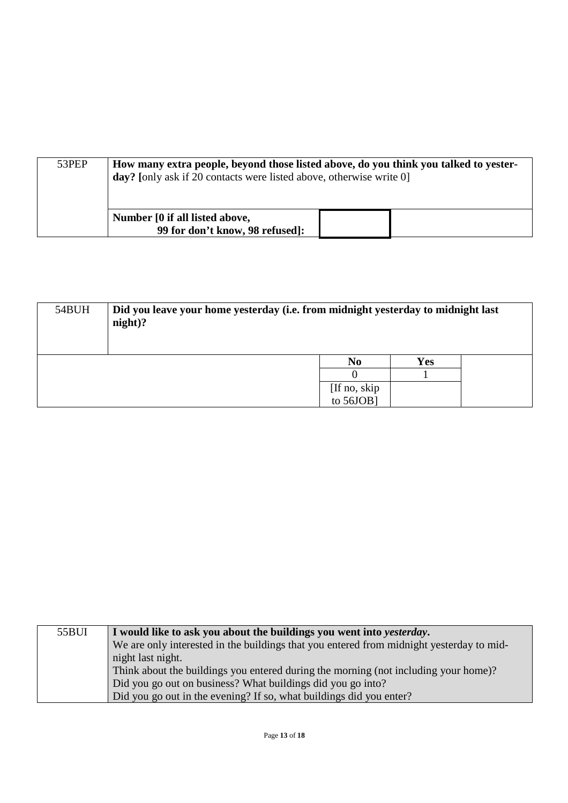| 53PEP | How many extra people, beyond those listed above, do you think you talked to yester-<br>day? [only ask if 20 contacts were listed above, otherwise write 0] |  |
|-------|-------------------------------------------------------------------------------------------------------------------------------------------------------------|--|
|       | Number [0 if all listed above,<br>99 for don't know, 98 refused]:                                                                                           |  |

| 54BUH | Did you leave your home yesterday (i.e. from midnight yesterday to midnight last<br>night)? |                |     |  |  |  |  |
|-------|---------------------------------------------------------------------------------------------|----------------|-----|--|--|--|--|
|       |                                                                                             | N <sub>0</sub> | Yes |  |  |  |  |
|       |                                                                                             |                |     |  |  |  |  |
|       |                                                                                             | [If no, skip]  |     |  |  |  |  |
|       |                                                                                             | to 56JOB]      |     |  |  |  |  |

| 55BUI | I would like to ask you about the buildings you went into <i>yesterday</i> .             |
|-------|------------------------------------------------------------------------------------------|
|       | We are only interested in the buildings that you entered from midnight yesterday to mid- |
|       | night last night.                                                                        |
|       | Think about the buildings you entered during the morning (not including your home)?      |
|       | Did you go out on business? What buildings did you go into?                              |
|       | Did you go out in the evening? If so, what buildings did you enter?                      |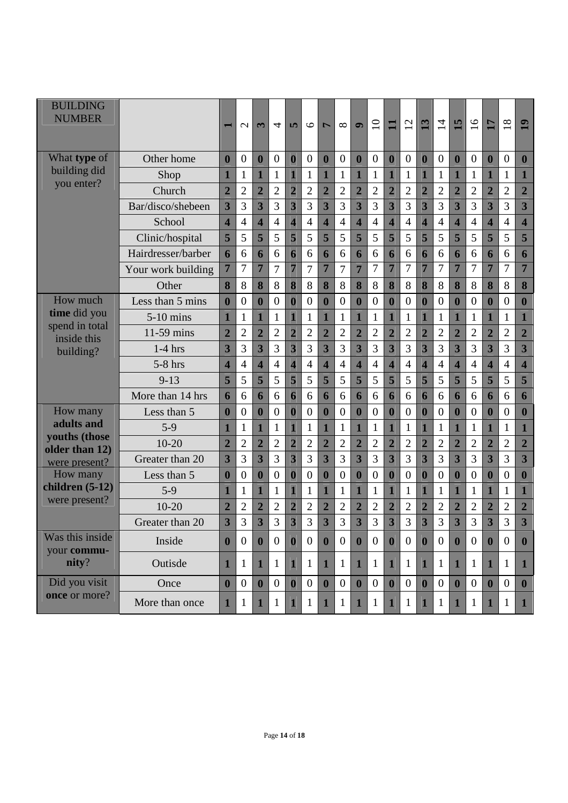| <b>BUILDING</b><br><b>NUMBER</b> |                    |                         | $\mathcal{L}$    | $\mathbf{r}$            | 4                | 5                       | $\circ$          | $\overline{ }$          | $\infty$         | $\bullet$               | $\overline{10}$  | $\blacksquare$          | 12               | 13                      | $\overline{1}$   | 15                      | $\overline{16}$  | 17                      | 18             | 19                      |
|----------------------------------|--------------------|-------------------------|------------------|-------------------------|------------------|-------------------------|------------------|-------------------------|------------------|-------------------------|------------------|-------------------------|------------------|-------------------------|------------------|-------------------------|------------------|-------------------------|----------------|-------------------------|
| What type of                     | Other home         | $\bf{0}$                | $\overline{0}$   | $\bf{0}$                | $\boldsymbol{0}$ | $\boldsymbol{0}$        | $\overline{0}$   | $\bf{0}$                | $\boldsymbol{0}$ | $\bf{0}$                | $\mathbf{0}$     | $\bf{0}$                | $\overline{0}$   | $\bf{0}$                | $\mathbf{0}$     | $\bf{0}$                | $\boldsymbol{0}$ | $\bf{0}$                | $\overline{0}$ | $\bf{0}$                |
| building did                     | Shop               | 1                       | $\mathbf{1}$     | 1                       | $\mathbf{1}$     | 1                       | $\mathbf{1}$     | $\overline{\mathbf{1}}$ | $\mathbf{1}$     | $\overline{\mathbf{1}}$ | $\mathbf{1}$     | $\mathbf{1}$            | $\mathbf{1}$     | $\mathbf{1}$            | $\mathbf{1}$     | $\overline{1}$          | $\mathbf{1}$     | $\mathbf{1}$            | $\mathbf{1}$   | $\mathbf{1}$            |
| you enter?                       | Church             | $\overline{2}$          | $\overline{2}$   | $\overline{2}$          | $\overline{2}$   | $\overline{2}$          | $\overline{2}$   | $\overline{2}$          | $\overline{2}$   | $\overline{2}$          | $\overline{2}$   | $\overline{2}$          | $\overline{2}$   | $\overline{2}$          | $\overline{2}$   | $\overline{2}$          | $\overline{2}$   | $\overline{2}$          | $\overline{2}$ | $\overline{2}$          |
|                                  | Bar/disco/shebeen  | $\overline{\mathbf{3}}$ | 3                | 3                       | 3                | 3                       | 3                | $\overline{\mathbf{3}}$ | 3                | 3                       | 3                | 3                       | 3                | $\overline{\mathbf{3}}$ | 3                | $\overline{\mathbf{3}}$ | 3                | $\overline{\mathbf{3}}$ | 3              | 3                       |
|                                  | School             | $\overline{\mathbf{4}}$ | $\overline{4}$   | $\overline{\mathbf{4}}$ | $\overline{4}$   | $\overline{\mathbf{4}}$ | $\overline{4}$   | $\overline{\mathbf{4}}$ | $\overline{4}$   | $\overline{\mathbf{4}}$ | $\overline{4}$   | $\overline{\mathbf{4}}$ | 4                | $\overline{\mathbf{4}}$ | $\overline{4}$   | $\overline{\mathbf{4}}$ | $\overline{4}$   | $\overline{\mathbf{4}}$ | $\overline{4}$ | $\overline{\mathbf{4}}$ |
|                                  | Clinic/hospital    | 5                       | 5                | 5                       | 5                | 5                       | 5                | 5                       | 5                | 5                       | 5                | 5                       | 5                | 5                       | 5                | 5                       | 5                | 5                       | 5              | 5                       |
|                                  | Hairdresser/barber | 6                       | 6                | 6                       | 6                | 6                       | 6                | 6                       | 6                | 6                       | 6                | 6                       | 6                | 6                       | 6                | 6                       | 6                | 6                       | 6              | 6                       |
|                                  | Your work building | 7                       | 7                | 7                       | 7                | $\overline{7}$          | 7                | 7                       | 7                | 7                       | 7                | $\overline{7}$          | 7                | $\overline{7}$          | 7                | $\overline{7}$          | 7                | $\overline{7}$          | 7              | $\overline{7}$          |
|                                  | Other              | 8                       | 8                | 8                       | 8                | 8                       | 8                | 8                       | 8                | 8                       | 8                | 8                       | 8                | 8                       | 8                | 8                       | 8                | 8                       | 8              | 8                       |
| How much                         | Less than 5 mins   | $\bf{0}$                | $\boldsymbol{0}$ | $\bf{0}$                | $\overline{0}$   | $\bf{0}$                | $\overline{0}$   | $\bf{0}$                | $\overline{0}$   | $\bf{0}$                | $\mathbf{0}$     | $\bf{0}$                | $\boldsymbol{0}$ | $\bf{0}$                | $\overline{0}$   | $\bf{0}$                | $\boldsymbol{0}$ | $\bf{0}$                | $\overline{0}$ | $\boldsymbol{0}$        |
| time did you                     | $5-10$ mins        | 1                       | $\mathbf{1}$     | 1                       | $\mathbf{1}$     | 1                       | $\mathbf{1}$     | $\overline{\mathbf{1}}$ | $\mathbf{1}$     | 1                       | $\mathbf{1}$     | $\mathbf{1}$            | 1                | $\mathbf{1}$            | 1                | $\overline{\mathbf{1}}$ | $\mathbf{1}$     | $\mathbf{1}$            | 1              | $\mathbf{1}$            |
| spend in total<br>inside this    | 11-59 mins         | $\overline{2}$          | $\overline{2}$   | $\overline{2}$          | $\overline{2}$   | $\overline{2}$          | $\overline{2}$   | $\overline{2}$          | $\overline{2}$   | $\overline{2}$          | $\overline{2}$   | $\overline{2}$          | $\overline{2}$   | $\overline{2}$          | $\overline{2}$   | $\overline{2}$          | $\overline{2}$   | $\overline{2}$          | $\overline{2}$ | $\overline{2}$          |
| building?                        | $1-4$ hrs          | 3                       | 3                | 3                       | 3                | 3                       | 3                | $\overline{\mathbf{3}}$ | 3                | 3                       | 3                | 3                       | 3                | $\overline{\mathbf{3}}$ | 3                | $\overline{\mathbf{3}}$ | 3                | $\overline{\mathbf{3}}$ | 3              | 3                       |
|                                  | $5-8$ hrs          | 4                       | $\overline{4}$   | $\overline{\mathbf{4}}$ | $\overline{4}$   | $\overline{\mathbf{4}}$ | $\overline{4}$   | $\overline{\mathbf{4}}$ | $\overline{4}$   | $\overline{\mathbf{4}}$ | $\overline{4}$   | $\overline{\mathbf{4}}$ | $\overline{4}$   | $\overline{\mathbf{4}}$ | $\overline{4}$   | $\overline{\mathbf{4}}$ | $\overline{4}$   | $\overline{\mathbf{4}}$ | $\overline{4}$ | $\overline{\mathbf{4}}$ |
|                                  | $9 - 13$           | 5                       | 5                | 5                       | 5                | 5                       | 5                | 5                       | 5                | 5                       | 5                | 5                       | 5                | 5                       | 5                | 5                       | 5                | 5                       | 5              | 5                       |
|                                  | More than 14 hrs   | 6                       | 6                | 6                       | 6                | 6                       | 6                | 6                       | 6                | 6                       | 6                | 6                       | 6                | 6                       | 6                | 6                       | 6                | 6                       | 6              | 6                       |
| How many                         | Less than 5        | $\boldsymbol{0}$        | $\boldsymbol{0}$ | $\bf{0}$                | $\mathbf{0}$     | $\bf{0}$                | $\overline{0}$   | $\bf{0}$                | $\overline{0}$   | $\mathbf{0}$            | $\boldsymbol{0}$ | $\bf{0}$                | $\overline{0}$   | $\bf{0}$                | $\boldsymbol{0}$ | $\bf{0}$                | $\boldsymbol{0}$ | $\bf{0}$                | $\mathbf{0}$   | $\bf{0}$                |
| adults and                       | $5-9$              |                         | $\mathbf{1}$     |                         | $\mathbf{1}$     | 1                       | $\mathbf 1$      | $\overline{\mathbf{1}}$ | $\mathbf{1}$     | 1                       | $\mathbf{1}$     | $\overline{\mathbf{1}}$ | 1                | $\overline{\mathbf{1}}$ | 1                | $\overline{\mathbf{1}}$ | 1                | $\overline{\mathbf{1}}$ | 1              | $\mathbf{1}$            |
| youths (those<br>older than 12)  | $10-20$            | $\overline{2}$          | $\overline{2}$   | $\overline{2}$          | $\overline{2}$   | $\overline{2}$          | $\overline{2}$   | $\overline{2}$          | $\overline{2}$   | $\overline{2}$          | $\overline{2}$   | $\overline{2}$          | $\overline{2}$   | $\overline{2}$          | $\overline{2}$   | $\overline{2}$          | $\overline{2}$   | $\overline{2}$          | $\overline{2}$ | $\overline{2}$          |
| were present?                    | Greater than 20    | $\overline{\mathbf{3}}$ | 3                | $\overline{\mathbf{3}}$ | 3                | 3                       | 3                | $\overline{\mathbf{3}}$ | 3                | 3                       | 3                | 3                       | 3                | $\overline{\mathbf{3}}$ | 3                | 3                       | 3                | $\overline{\mathbf{3}}$ | 3              | 3                       |
| How many                         | Less than 5        | $\boldsymbol{0}$        | $\boldsymbol{0}$ | $\boldsymbol{0}$        | $\boldsymbol{0}$ | $\boldsymbol{0}$        | $\overline{0}$   | $\boldsymbol{0}$        | $\boldsymbol{0}$ | $\bf{0}$                | $\boldsymbol{0}$ | $\bf{0}$                | $\overline{0}$   | $\bf{0}$                | $\boldsymbol{0}$ | $\bf{0}$                | $\boldsymbol{0}$ | $\bf{0}$                | 0              | $\boldsymbol{0}$        |
| children $(5-12)$                | $5-9$              |                         | $\mathbf{1}$     |                         | 1                | 1                       | 1                | $\overline{\mathbf{1}}$ | $\mathbf{1}$     | 1                       | $\mathbf{1}$     | $\overline{\mathbf{1}}$ | 1                | $\overline{\mathbf{1}}$ | 1                | $\overline{\mathbf{1}}$ | 1                | $\overline{\mathbf{1}}$ | 1              | $\mathbf{1}$            |
| were present?                    | $10 - 20$          | $\overline{2}$          | $\overline{2}$   | $\overline{2}$          | $\overline{2}$   | $\overline{2}$          | $\overline{2}$   | $\overline{2}$          | $\overline{c}$   | $\overline{2}$          | $\overline{2}$   | $\overline{2}$          | $\overline{2}$   | $\overline{2}$          | $\overline{2}$   | $\overline{2}$          | $\overline{2}$   | $\overline{2}$          | $\overline{2}$ | $\overline{2}$          |
|                                  | Greater than 20    | $\overline{\mathbf{A}}$ | $\mathbf{3}$     | $\overline{\mathbf{3}}$ | $\mathbf{3}$     | $\mathbf{a}$            | $\mathcal{R}$    | $\overline{\mathbf{A}}$ | 3                | $\overline{\mathbf{A}}$ | $\mathbf{3}$     | $\overline{\mathbf{A}}$ | 3                | $\overline{\mathbf{3}}$ | $\mathbf{3}$     | $\overline{\mathbf{A}}$ | 3                | $\ddot{\textbf{3}}$     | $\mathbf{3}$   | $\overline{\mathbf{3}}$ |
| Was this inside<br>your commu-   | Inside             | $\bf{0}$                | $\mathbf{0}$     | $\mathbf{0}$            | $\overline{0}$   | $\bf{0}$                | $\mathbf{0}$     | $\bf{0}$                | $\overline{0}$   | $\mathbf{0}$            | $\overline{0}$   | $\mathbf{0}$            | $\overline{0}$   | $\bf{0}$                | $\overline{0}$   | $\boldsymbol{0}$        | $\overline{0}$   | $\boldsymbol{0}$        | $\overline{0}$ | $\bf{0}$                |
| nity?                            | Outisde            | $\mathbf{1}$            | $\mathbf{1}$     | $\mathbf{1}$            | $\mathbf{1}$     | $\mathbf{1}$            | $\mathbf{1}$     | $\mathbf{1}$            | $\mathbf{1}$     | $\mathbf{1}$            | $\mathbf{1}$     | $\mathbf{1}$            | $\mathbf{1}$     | $\mathbf{1}$            | $\mathbf{1}$     | $\mathbf{1}$            | 1                | $\mathbf{1}$            | 1              | $\mathbf{1}$            |
| Did you visit                    | Once               | $\boldsymbol{0}$        | $\boldsymbol{0}$ | $\boldsymbol{0}$        | $\boldsymbol{0}$ | $\bf{0}$                | $\boldsymbol{0}$ | $\overline{\mathbf{0}}$ | $\mathbf{0}$     | $\bf{0}$                | $\boldsymbol{0}$ | $\bf{0}$                | $\mathbf{0}$     | $\bf{0}$                | $\boldsymbol{0}$ | $\boldsymbol{0}$        | $\mathbf{0}$     | $\boldsymbol{0}$        | $\overline{0}$ | $\boldsymbol{0}$        |
| once or more?                    | More than once     | 1                       | 1                |                         | $\mathbf 1$      | 1                       | 1                | $\mathbf{1}$            | $\mathbf{1}$     | $\mathbf{1}$            | $\mathbf{1}$     | $\mathbf{1}$            | 1                | $\mathbf{1}$            | $\mathbf{1}$     | $\mathbf{1}$            | 1                | $\mathbf{1}$            | 1              | $\mathbf{1}$            |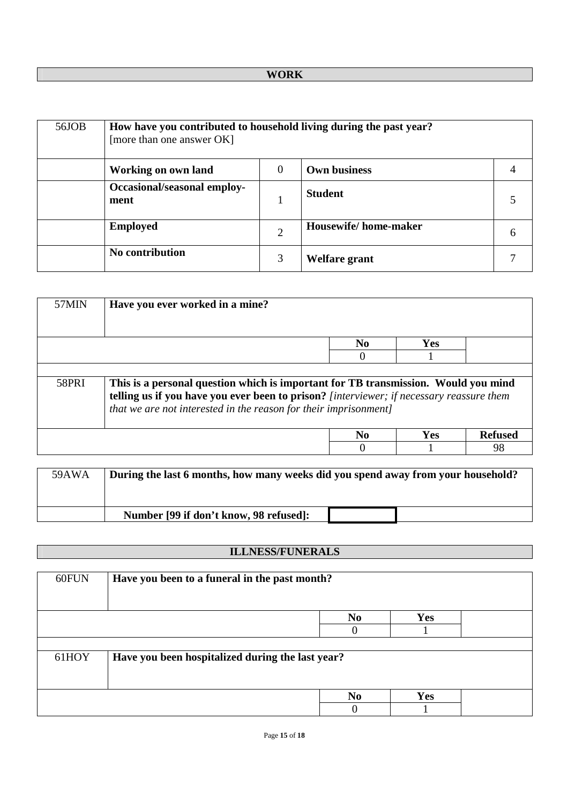| 56JOB | How have you contributed to household living during the past year?<br>[more than one answer OK] |          |                      |  |
|-------|-------------------------------------------------------------------------------------------------|----------|----------------------|--|
|       | Working on own land                                                                             | $\theta$ | <b>Own business</b>  |  |
|       | Occasional/seasonal employ-<br>ment                                                             |          | <b>Student</b>       |  |
|       | <b>Employed</b>                                                                                 | 2        | Housewife/home-maker |  |
|       | No contribution                                                                                 | 3        | Welfare grant        |  |

| 57MIN        | Have you ever worked in a mine?                                                                                                                                                                                                                    |                |            |         |  |  |  |  |
|--------------|----------------------------------------------------------------------------------------------------------------------------------------------------------------------------------------------------------------------------------------------------|----------------|------------|---------|--|--|--|--|
|              |                                                                                                                                                                                                                                                    | N <sub>0</sub> | Yes        |         |  |  |  |  |
|              |                                                                                                                                                                                                                                                    |                |            |         |  |  |  |  |
|              |                                                                                                                                                                                                                                                    |                |            |         |  |  |  |  |
| <b>58PRI</b> | This is a personal question which is important for TB transmission. Would you mind<br>telling us if you have you ever been to prison? [interviewer; if necessary reassure them<br>that we are not interested in the reason for their imprisonment] |                |            |         |  |  |  |  |
|              |                                                                                                                                                                                                                                                    | N <sub>0</sub> | <b>Yes</b> | Refused |  |  |  |  |
|              |                                                                                                                                                                                                                                                    |                |            | 98      |  |  |  |  |

| 59AWA | During the last 6 months, how many weeks did you spend away from your household? |
|-------|----------------------------------------------------------------------------------|
|       | Number [99 if don't know, 98 refused]:                                           |

# **ILLNESS/FUNERALS**

| 60FUN | Have you been to a funeral in the past month?    |                |            |  |
|-------|--------------------------------------------------|----------------|------------|--|
|       |                                                  | N <sub>0</sub> | <b>Yes</b> |  |
|       |                                                  |                |            |  |
|       |                                                  |                |            |  |
| 61HOY | Have you been hospitalized during the last year? |                |            |  |
|       |                                                  |                |            |  |
|       |                                                  |                |            |  |
|       |                                                  | N <sub>0</sub> | <b>Yes</b> |  |
|       |                                                  |                |            |  |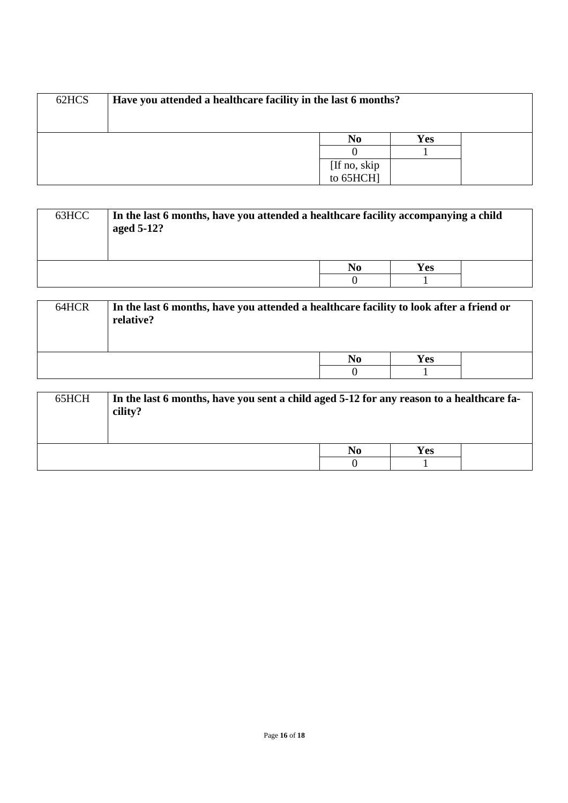| 62HCS | Have you attended a healthcare facility in the last 6 months? |                           |     |  |
|-------|---------------------------------------------------------------|---------------------------|-----|--|
|       |                                                               |                           |     |  |
|       |                                                               | No                        | Yes |  |
|       |                                                               |                           |     |  |
|       |                                                               |                           |     |  |
|       |                                                               | [If no, skip<br>to 65HCH] |     |  |

| 63HCC | In the last 6 months, have you attended a healthcare facility accompanying a child<br>aged 5-12? |    |     |  |
|-------|--------------------------------------------------------------------------------------------------|----|-----|--|
|       |                                                                                                  | No | Yes |  |
|       |                                                                                                  |    |     |  |

| 64HCR | In the last 6 months, have you attended a healthcare facility to look after a friend or<br>relative? |    |     |  |
|-------|------------------------------------------------------------------------------------------------------|----|-----|--|
|       |                                                                                                      | No | Yes |  |
|       |                                                                                                      |    |     |  |

| 65HCH | In the last 6 months, have you sent a child aged 5-12 for any reason to a healthcare fa-<br>cility? |    |     |  |
|-------|-----------------------------------------------------------------------------------------------------|----|-----|--|
|       |                                                                                                     | No | Yes |  |
|       |                                                                                                     |    |     |  |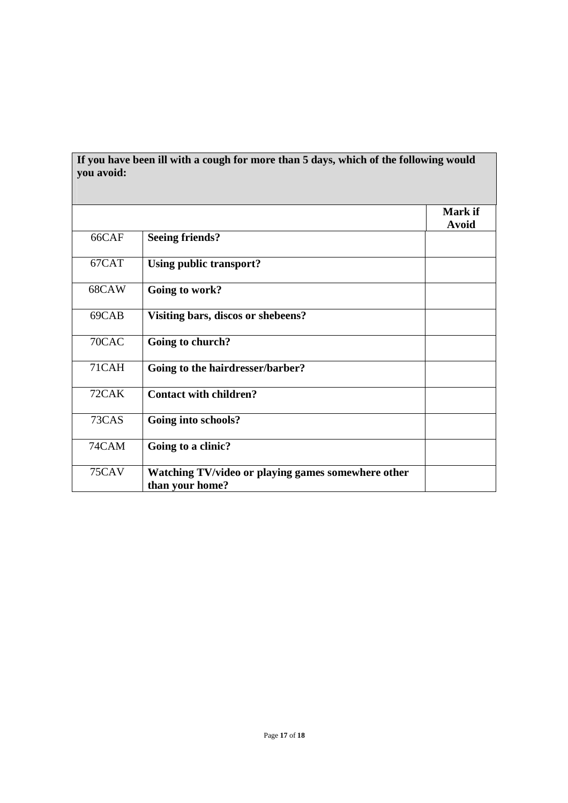| you avoid: | If you have been ill with a cough for more than 5 days, which of the following would |                         |
|------------|--------------------------------------------------------------------------------------|-------------------------|
|            |                                                                                      | Mark if<br><b>Avoid</b> |
| 66CAF      | <b>Seeing friends?</b>                                                               |                         |
| 67CAT      | Using public transport?                                                              |                         |
| 68CAW      | Going to work?                                                                       |                         |
| 69CAB      | Visiting bars, discos or shebeens?                                                   |                         |
| 70CAC      | Going to church?                                                                     |                         |
| 71CAH      | Going to the hairdresser/barber?                                                     |                         |
| 72CAK      | <b>Contact with children?</b>                                                        |                         |
| 73CAS      | Going into schools?                                                                  |                         |
| 74CAM      | Going to a clinic?                                                                   |                         |
| 75CAV      | Watching TV/video or playing games somewhere other<br>than your home?                |                         |